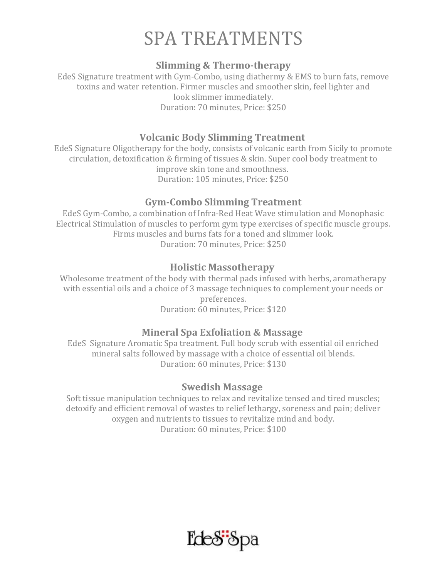# SPA TREATMENTS

### **Slimming & Thermo-therapy**

EdeS Signature treatment with Gym-Combo, using diathermy & EMS to burn fats, remove toxins and water retention. Firmer muscles and smoother skin, feel lighter and look slimmer immediately. Duration: 70 minutes, Price: \$250

## **Volcanic Body Slimming Treatment**

EdeS Signature Oligotherapy for the body, consists of volcanic earth from Sicily to promote circulation, detoxification & firming of tissues & skin. Super cool body treatment to improve skin tone and smoothness. Duration: 105 minutes, Price: \$250

## **Gym-Combo Slimming Treatment**

EdeS Gym-Combo, a combination of Infra-Red Heat Wave stimulation and Monophasic Electrical Stimulation of muscles to perform gym type exercises of specific muscle groups. Firms muscles and burns fats for a toned and slimmer look. Duration: 70 minutes, Price: \$250

## **Holistic Massotherapy**

Wholesome treatment of the body with thermal pads infused with herbs, aromatherapy with essential oils and a choice of 3 massage techniques to complement your needs or preferences. Duration: 60 minutes, Price: \$120

# **Mineral Spa Exfoliation & Massage**

EdeS Signature Aromatic Spa treatment. Full body scrub with essential oil enriched mineral salts followed by massage with a choice of essential oil blends. Duration: 60 minutes, Price: \$130

#### **Swedish Massage**

Soft tissue manipulation techniques to relax and revitalize tensed and tired muscles; detoxify and efficient removal of wastes to relief lethargy, soreness and pain; deliver oxygen and nutrients to tissues to revitalize mind and body. Duration: 60 minutes, Price: \$100